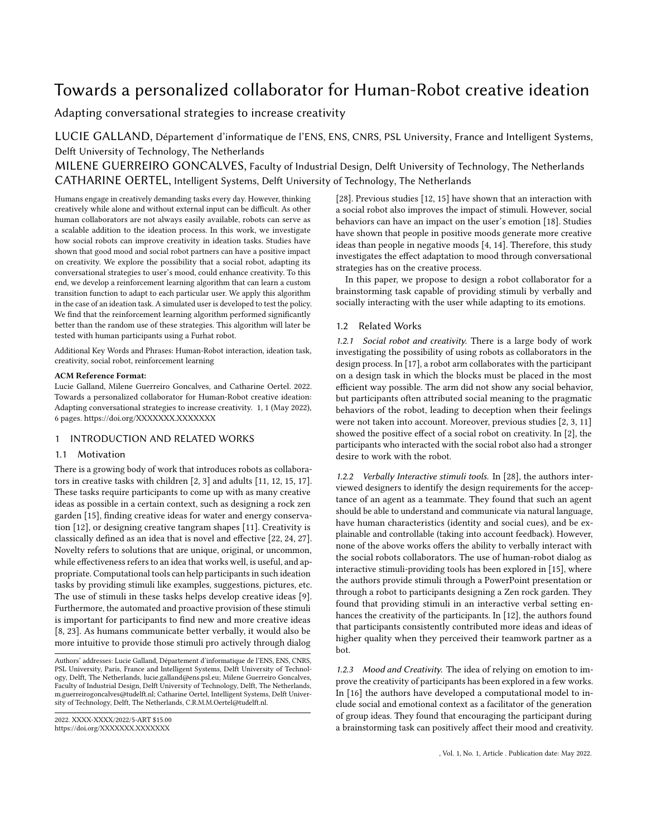# Towards a personalized collaborator for Human-Robot creative ideation

Adapting conversational strategies to increase creativity

LUCIE GALLAND, Département d'informatique de l'ENS, ENS, CNRS, PSL University, France and Intelligent Systems, Delft University of Technology, The Netherlands

MILENE GUERREIRO GONCALVES, Faculty of Industrial Design, Delft University of Technology, The Netherlands CATHARINE OERTEL, Intelligent Systems, Delft University of Technology, The Netherlands

Humans engage in creatively demanding tasks every day. However, thinking creatively while alone and without external input can be difficult. As other human collaborators are not always easily available, robots can serve as a scalable addition to the ideation process. In this work, we investigate how social robots can improve creativity in ideation tasks. Studies have shown that good mood and social robot partners can have a positive impact on creativity. We explore the possibility that a social robot, adapting its conversational strategies to user's mood, could enhance creativity. To this end, we develop a reinforcement learning algorithm that can learn a custom transition function to adapt to each particular user. We apply this algorithm in the case of an ideation task. A simulated user is developed to test the policy. We find that the reinforcement learning algorithm performed significantly better than the random use of these strategies. This algorithm will later be tested with human participants using a Furhat robot.

Additional Key Words and Phrases: Human-Robot interaction, ideation task, creativity, social robot, reinforcement learning

# ACM Reference Format:

Lucie Galland, Milene Guerreiro Goncalves, and Catharine Oertel. 2022. Towards a personalized collaborator for Human-Robot creative ideation: Adapting conversational strategies to increase creativity. 1, 1 (May 2022), [6](#page-5-0) pages.<https://doi.org/XXXXXXX.XXXXXXX>

# 1 INTRODUCTION AND RELATED WORKS

# 1.1 Motivation

There is a growing body of work that introduces robots as collaborators in creative tasks with children [\[2,](#page-4-0) [3\]](#page-4-1) and adults [\[11,](#page-4-2) [12,](#page-4-3) [15,](#page-4-4) [17\]](#page-4-5). These tasks require participants to come up with as many creative ideas as possible in a certain context, such as designing a rock zen garden [\[15\]](#page-4-4), finding creative ideas for water and energy conservation [\[12\]](#page-4-3), or designing creative tangram shapes [\[11\]](#page-4-2). Creativity is classically defined as an idea that is novel and effective [\[22,](#page-4-6) [24,](#page-4-7) [27\]](#page-4-8). Novelty refers to solutions that are unique, original, or uncommon, while effectiveness refers to an idea that works well, is useful, and appropriate. Computational tools can help participants in such ideation tasks by providing stimuli like examples, suggestions, pictures, etc. The use of stimuli in these tasks helps develop creative ideas [\[9\]](#page-4-9). Furthermore, the automated and proactive provision of these stimuli is important for participants to find new and more creative ideas [\[8,](#page-4-10) [23\]](#page-4-11). As humans communicate better verbally, it would also be more intuitive to provide those stimuli pro actively through dialog

Authors' addresses: Lucie Galland, Département d'informatique de l'ENS, ENS, CNRS, PSL University, Paris, France and Intelligent Systems, Delft University of Technology, Delft, The Netherlands, lucie.galland@ens.psl.eu; Milene Guerreiro Goncalves, Faculty of Industrial Design, Delft University of Technology, Delft, The Netherlands, m.guerreirogoncalves@tudelft.nl; Catharine Oertel, Intelligent Systems, Delft University of Technology, Delft, The Netherlands, C.R.M.M.Oertel@tudelft.nl.

[\[28\]](#page-4-12). Previous studies [\[12,](#page-4-3) [15\]](#page-4-4) have shown that an interaction with a social robot also improves the impact of stimuli. However, social behaviors can have an impact on the user's emotion [\[18\]](#page-4-13). Studies have shown that people in positive moods generate more creative ideas than people in negative moods [\[4,](#page-4-14) [14\]](#page-4-15). Therefore, this study investigates the effect adaptation to mood through conversational strategies has on the creative process.

In this paper, we propose to design a robot collaborator for a brainstorming task capable of providing stimuli by verbally and socially interacting with the user while adapting to its emotions.

# 1.2 Related Works

1.2.1 Social robot and creativity. There is a large body of work investigating the possibility of using robots as collaborators in the design process. In [\[17\]](#page-4-5), a robot arm collaborates with the participant on a design task in which the blocks must be placed in the most efficient way possible. The arm did not show any social behavior, but participants often attributed social meaning to the pragmatic behaviors of the robot, leading to deception when their feelings were not taken into account. Moreover, previous studies [\[2,](#page-4-0) [3,](#page-4-1) [11\]](#page-4-2) showed the positive effect of a social robot on creativity. In [\[2\]](#page-4-0), the participants who interacted with the social robot also had a stronger desire to work with the robot.

1.2.2 Verbally Interactive stimuli tools. In [\[28\]](#page-4-12), the authors interviewed designers to identify the design requirements for the acceptance of an agent as a teammate. They found that such an agent should be able to understand and communicate via natural language, have human characteristics (identity and social cues), and be explainable and controllable (taking into account feedback). However, none of the above works offers the ability to verbally interact with the social robots collaborators. The use of human-robot dialog as interactive stimuli-providing tools has been explored in [\[15\]](#page-4-4), where the authors provide stimuli through a PowerPoint presentation or through a robot to participants designing a Zen rock garden. They found that providing stimuli in an interactive verbal setting enhances the creativity of the participants. In [\[12\]](#page-4-3), the authors found that participants consistently contributed more ideas and ideas of higher quality when they perceived their teamwork partner as a bot.

1.2.3 Mood and Creativity. The idea of relying on emotion to improve the creativity of participants has been explored in a few works. In [\[16\]](#page-4-16) the authors have developed a computational model to include social and emotional context as a facilitator of the generation of group ideas. They found that encouraging the participant during a brainstorming task can positively affect their mood and creativity.

<sup>2022.</sup> XXXX-XXXX/2022/5-ART \$15.00 <https://doi.org/XXXXXXX.XXXXXXX>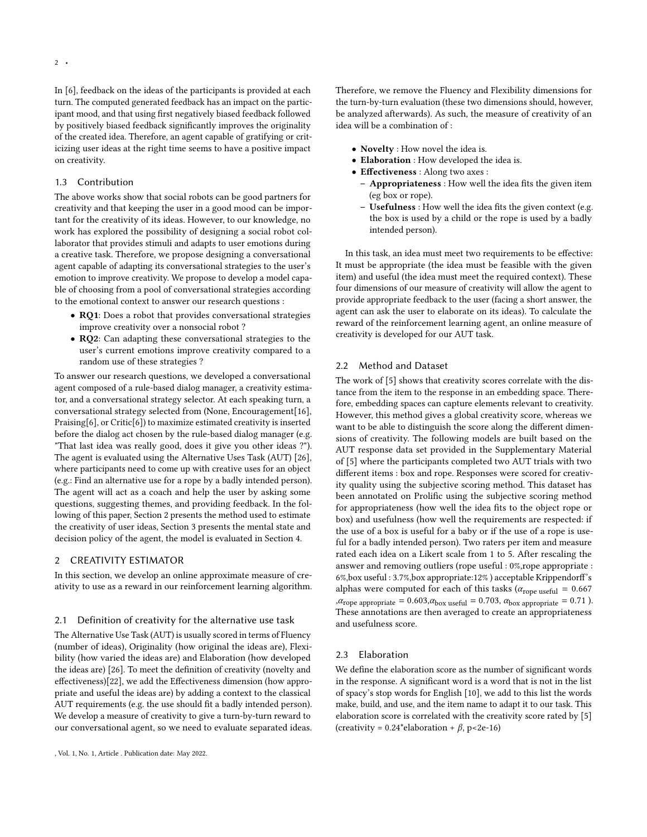2 •

In [\[6\]](#page-4-17), feedback on the ideas of the participants is provided at each turn. The computed generated feedback has an impact on the participant mood, and that using first negatively biased feedback followed by positively biased feedback significantly improves the originality of the created idea. Therefore, an agent capable of gratifying or criticizing user ideas at the right time seems to have a positive impact on creativity.

# 1.3 Contribution

The above works show that social robots can be good partners for creativity and that keeping the user in a good mood can be important for the creativity of its ideas. However, to our knowledge, no work has explored the possibility of designing a social robot collaborator that provides stimuli and adapts to user emotions during a creative task. Therefore, we propose designing a conversational agent capable of adapting its conversational strategies to the user's emotion to improve creativity. We propose to develop a model capable of choosing from a pool of conversational strategies according to the emotional context to answer our research questions :

- RQ1: Does a robot that provides conversational strategies improve creativity over a nonsocial robot ?
- RQ2: Can adapting these conversational strategies to the user's current emotions improve creativity compared to a random use of these strategies ?

To answer our research questions, we developed a conversational agent composed of a rule-based dialog manager, a creativity estimator, and a conversational strategy selector. At each speaking turn, a conversational strategy selected from (None, Encouragement[\[16\]](#page-4-16), Praising[\[6\]](#page-4-17), or Critic[\[6\]](#page-4-17)) to maximize estimated creativity is inserted before the dialog act chosen by the rule-based dialog manager (e.g. "That last idea was really good, does it give you other ideas ?"). The agent is evaluated using the Alternative Uses Task (AUT) [\[26\]](#page-4-18), where participants need to come up with creative uses for an object (e.g.: Find an alternative use for a rope by a badly intended person). The agent will act as a coach and help the user by asking some questions, suggesting themes, and providing feedback. In the following of this paper, Section [2](#page-1-0) presents the method used to estimate the creativity of user ideas, Section [3](#page-2-0) presents the mental state and decision policy of the agent, the model is evaluated in Section [4.](#page-3-0)

#### <span id="page-1-0"></span>2 CREATIVITY ESTIMATOR

In this section, we develop an online approximate measure of creativity to use as a reward in our reinforcement learning algorithm.

# 2.1 Definition of creativity for the alternative use task

The Alternative Use Task (AUT) is usually scored in terms of Fluency (number of ideas), Originality (how original the ideas are), Flexibility (how varied the ideas are) and Elaboration (how developed the ideas are) [\[26\]](#page-4-18). To meet the definition of creativity (novelty and effectiveness)[\[22\]](#page-4-6), we add the Effectiveness dimension (how appropriate and useful the ideas are) by adding a context to the classical AUT requirements (e.g. the use should fit a badly intended person). We develop a measure of creativity to give a turn-by-turn reward to our conversational agent, so we need to evaluate separated ideas. Therefore, we remove the Fluency and Flexibility dimensions for the turn-by-turn evaluation (these two dimensions should, however, be analyzed afterwards). As such, the measure of creativity of an idea will be a combination of :

- Novelty : How novel the idea is.
- Elaboration : How developed the idea is.
- Effectiveness : Along two axes :
	- Appropriateness : How well the idea fits the given item (eg box or rope).
	- Usefulness : How well the idea fits the given context (e.g. the box is used by a child or the rope is used by a badly intended person).

In this task, an idea must meet two requirements to be effective: It must be appropriate (the idea must be feasible with the given item) and useful (the idea must meet the required context). These four dimensions of our measure of creativity will allow the agent to provide appropriate feedback to the user (facing a short answer, the agent can ask the user to elaborate on its ideas). To calculate the reward of the reinforcement learning agent, an online measure of creativity is developed for our AUT task.

# 2.2 Method and Dataset

The work of [\[5\]](#page-4-19) shows that creativity scores correlate with the distance from the item to the response in an embedding space. Therefore, embedding spaces can capture elements relevant to creativity. However, this method gives a global creativity score, whereas we want to be able to distinguish the score along the different dimensions of creativity. The following models are built based on the AUT response data set provided in the Supplementary Material of [\[5\]](#page-4-19) where the participants completed two AUT trials with two different items : box and rope. Responses were scored for creativity quality using the subjective scoring method. This dataset has been annotated on Prolific using the subjective scoring method for appropriateness (how well the idea fits to the object rope or box) and usefulness (how well the requirements are respected: if the use of a box is useful for a baby or if the use of a rope is useful for a badly intended person). Two raters per item and measure rated each idea on a Likert scale from 1 to 5. After rescaling the answer and removing outliers (rope useful : 0%,rope appropriate : 6%,box useful : 3.7%,box appropriate:12% ) acceptable Krippendorff's alphas were computed for each of this tasks ( $\alpha_{\text{rope useful}} = 0.667$ , $\alpha_{\text{rope appropriate}} = 0.603, \alpha_{\text{box useful}} = 0.703, \alpha_{\text{box appropriate}} = 0.71$ . These annotations are then averaged to create an appropriateness and usefulness score.

# 2.3 Elaboration

We define the elaboration score as the number of significant words in the response. A significant word is a word that is not in the list of spacy's stop words for English [\[10\]](#page-4-20), we add to this list the words make, build, and use, and the item name to adapt it to our task. This elaboration score is correlated with the creativity score rated by [\[5\]](#page-4-19) (creativity =  $0.24$ \*elaboration +  $\beta$ , p<2e-16)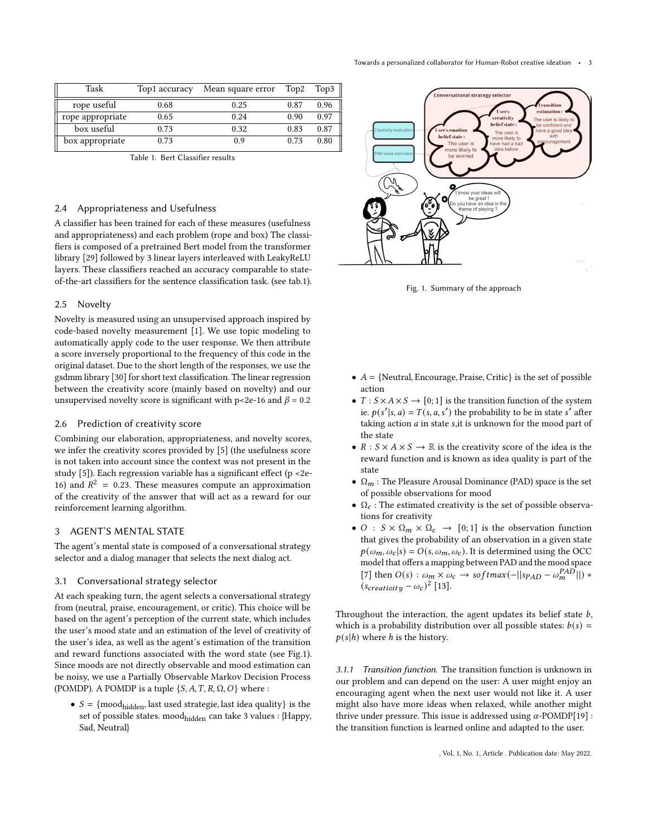<span id="page-2-1"></span>

| Task             | Top1 accuracy | Mean square error | Top2 | Top3 |
|------------------|---------------|-------------------|------|------|
| rope useful      | 0.68          | 0.25              | 0.87 | 0.96 |
| rope appropriate | 0.65          | 0.24              | 0.90 | 0.97 |
| box useful       | 0.73          | 0.32              | 0.83 | 0.87 |
| box appropriate  | 0.73          | 0.9               | 0.73 | 0.80 |

Table 1. Bert Classifier results

# 2.4 Appropriateness and Usefulness

A classifier has been trained for each of these measures (usefulness and appropriateness) and each problem (rope and box) The classifiers is composed of a pretrained Bert model from the transformer library [\[29\]](#page-5-1) followed by 3 linear layers interleaved with LeakyReLU layers. These classifiers reached an accuracy comparable to stateof-the-art classifiers for the sentence classification task. (see tab[.1\)](#page-2-1).

#### 2.5 Novelty

Novelty is measured using an unsupervised approach inspired by code-based novelty measurement [\[1\]](#page-4-21). We use topic modeling to automatically apply code to the user response. We then attribute a score inversely proportional to the frequency of this code in the original dataset. Due to the short length of the responses, we use the gsdmm library [\[30\]](#page-5-2) for short text classification. The linear regression between the creativity score (mainly based on novelty) and our unsupervised novelty score is significant with p<2e-16 and  $\beta$  = 0.2

# 2.6 Prediction of creativity score

Combining our elaboration, appropriateness, and novelty scores, we infer the creativity scores provided by [\[5\]](#page-4-19) (the usefulness score is not taken into account since the context was not present in the study [\[5\]](#page-4-19)). Each regression variable has a significant effect (p <2e-16) and  $R^2 = 0.23$ . These measures compute an approximation of the creativity of the answer that will act as a reward for our reinforcement learning algorithm.

#### <span id="page-2-0"></span>3 AGENT'S MENTAL STATE

The agent's mental state is composed of a conversational strategy selector and a dialog manager that selects the next dialog act.

# 3.1 Conversational strategy selector

At each speaking turn, the agent selects a conversational strategy from (neutral, praise, encouragement, or critic). This choice will be based on the agent's perception of the current state, which includes the user's mood state and an estimation of the level of creativity of the user's idea, as well as the agent's estimation of the transition and reward functions associated with the word state (see Fig[.1\)](#page-2-2). Since moods are not directly observable and mood estimation can be noisy, we use a Partially Observable Markov Decision Process (POMDP). A POMDP is a tuple  $\{S, A, T, R, \Omega, O\}$  where :

•  $S = \{ \text{mod}_{\text{hidden}} \}$ , last used strategie, last idea quality} is the set of possible states. moodhidden can take 3 values : {Happy, Sad, Neutral}

<span id="page-2-2"></span>

Fig. 1. Summary of the approach

- $A = \{$ Neutral, Encourage, Praise, Critic $\}$  is the set of possible action
- $T : S \times A \times S \rightarrow [0; 1]$  is the transition function of the system ie.  $p(s'|s, a) = T(s, a, s')$  the probability to be in state s' after taking action  $a$  in state s,it is unknown for the mood part of the state
- $R : S \times A \times S \rightarrow \mathbb{R}$  is the creativity score of the idea is the reward function and is known as idea quality is part of the state
- $\Omega_m$ : The Pleasure Arousal Dominance (PAD) space is the set of possible observations for mood
- $\Omega_c$ : The estimated creativity is the set of possible observations for creativity
- $O : S \times \Omega_m \times \Omega_c \rightarrow [0, 1]$  is the observation function that gives the probability of an observation in a given state  $p(\omega_m, \omega_c | s) = O(s, \omega_m, \omega_c)$ . It is determined using the OCC model that offers a mapping between PAD and the mood space [\[7\]](#page-4-22) then  $O(s)$  :  $\omega_m \times \omega_c \rightarrow softmax(-||sp_{AD} - \omega_m^{PAD}||)$  \*  $(s_{\text{c} \text{reativity}} - \omega_c)^2$  [\[13\]](#page-4-23).

Throughout the interaction, the agent updates its belief state  $b$ , which is a probability distribution over all possible states:  $b(s)$  =  $p(s|h)$  where h is the history.

3.1.1 Transition function. The transition function is unknown in our problem and can depend on the user: A user might enjoy an encouraging agent when the next user would not like it. A user might also have more ideas when relaxed, while another might thrive under pressure. This issue is addressed using  $\alpha$ -POMDP[\[19\]](#page-4-24) : the transition function is learned online and adapted to the user.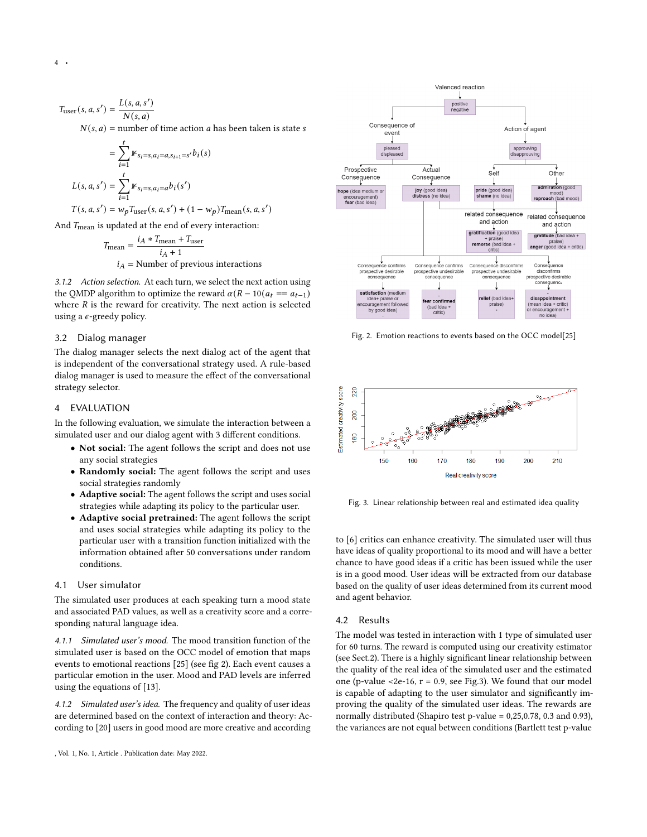$$
T_{\text{user}}(s, a, s') = \frac{L(s, a, s')}{N(s, a)}
$$
  
N(s, a) = number of time action a has been taken is state s

$$
= \sum_{i=1}^{t} \mathbb{1}_{s_i = s, a_i = a, s_{i+1} = s'} b_i(s)
$$
  

$$
L(s, a, s') = \sum_{i=1}^{t} \mathbb{1}_{s_i = s, a_i = a} b_i(s')
$$
  

$$
T(s, a, s') = w_p T_{user}(s, a, s') + (1 - w_p) T_{mean}(s, a, s')
$$

And  $T_{\text{mean}}$  is updated at the end of every interaction:

$$
T_{\text{mean}} = \frac{i_A * T_{\text{mean}} + T_{\text{user}}}{i_A + 1}
$$
  

$$
i_A = \text{Number of previous interactions}
$$

3.1.2 Action selection. At each turn, we select the next action using the QMDP algorithm to optimize the reward  $\alpha(R - 10(a_t == a_{t-1}))$ where  $R$  is the reward for creativity. The next action is selected using a  $\epsilon$ -greedy policy.

#### 3.2 Dialog manager

The dialog manager selects the next dialog act of the agent that is independent of the conversational strategy used. A rule-based dialog manager is used to measure the effect of the conversational strategy selector.

# <span id="page-3-0"></span>4 EVALUATION

In the following evaluation, we simulate the interaction between a simulated user and our dialog agent with 3 different conditions.

- Not social: The agent follows the script and does not use any social strategies
- Randomly social: The agent follows the script and uses social strategies randomly
- Adaptive social: The agent follows the script and uses social strategies while adapting its policy to the particular user.
- Adaptive social pretrained: The agent follows the script and uses social strategies while adapting its policy to the particular user with a transition function initialized with the information obtained after 50 conversations under random conditions.

# 4.1 User simulator

The simulated user produces at each speaking turn a mood state and associated PAD values, as well as a creativity score and a corresponding natural language idea.

4.1.1 Simulated user's mood. The mood transition function of the simulated user is based on the OCC model of emotion that maps events to emotional reactions [\[25\]](#page-4-25) (see fig [2\)](#page-3-1). Each event causes a particular emotion in the user. Mood and PAD levels are inferred using the equations of [\[13\]](#page-4-23).

4.1.2 Simulated user's idea. The frequency and quality of user ideas are determined based on the context of interaction and theory: According to [\[20\]](#page-4-26) users in good mood are more creative and according



<span id="page-3-1"></span>

<span id="page-3-2"></span>Fig. 2. Emotion reactions to events based on the OCC model[\[25\]](#page-4-25)



Fig. 3. Linear relationship between real and estimated idea quality

to [\[6\]](#page-4-17) critics can enhance creativity. The simulated user will thus have ideas of quality proportional to its mood and will have a better chance to have good ideas if a critic has been issued while the user is in a good mood. User ideas will be extracted from our database based on the quality of user ideas determined from its current mood and agent behavior.

# 4.2 Results

The model was tested in interaction with 1 type of simulated user for 60 turns. The reward is computed using our creativity estimator (see Sect[.2\)](#page-1-0). There is a highly significant linear relationship between the quality of the real idea of the simulated user and the estimated one (p-value <2e-16,  $r = 0.9$ , see Fig[.3\)](#page-3-2). We found that our model is capable of adapting to the user simulator and significantly improving the quality of the simulated user ideas. The rewards are normally distributed (Shapiro test p-value = 0,25,0.78, 0.3 and 0.93), the variances are not equal between conditions (Bartlett test p-value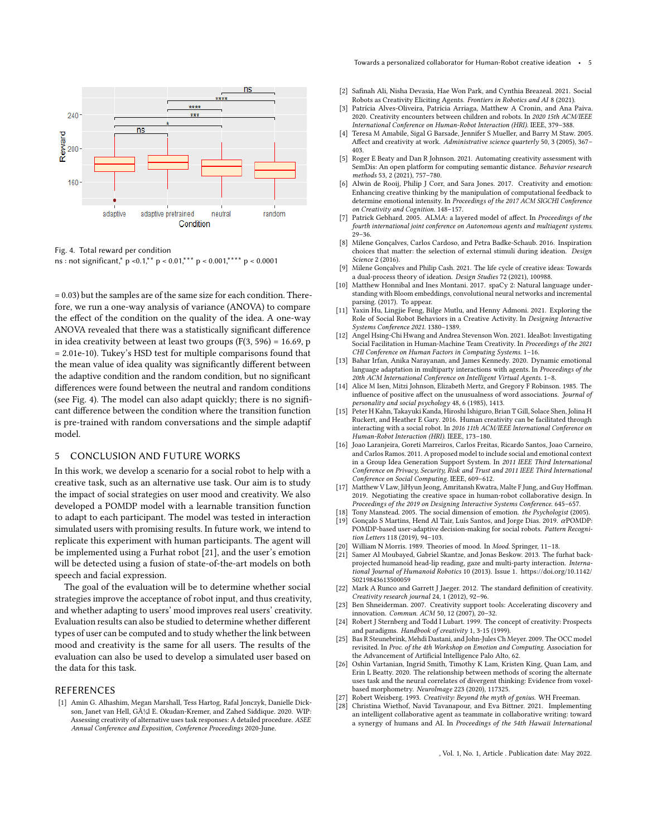<span id="page-4-27"></span>

Fig. 4. Total reward per condition ns : not significant,  $p \le 0.1$ ,  $p \le 0.01$ ,  $p \le 0.001$ ,  $p \le 0.0001$ 

= 0.03) but the samples are of the same size for each condition. Therefore, we run a one-way analysis of variance (ANOVA) to compare the effect of the condition on the quality of the idea. A one-way ANOVA revealed that there was a statistically significant difference in idea creativity between at least two groups  $(F(3, 596) = 16.69, p$ = 2.01e-10). Tukey's HSD test for multiple comparisons found that the mean value of idea quality was significantly different between the adaptive condition and the random condition, but no significant differences were found between the neutral and random conditions (see Fig. [4\)](#page-4-27). The model can also adapt quickly; there is no significant difference between the condition where the transition function is pre-trained with random conversations and the simple adaptif model.

# 5 CONCLUSION AND FUTURE WORKS

In this work, we develop a scenario for a social robot to help with a creative task, such as an alternative use task. Our aim is to study the impact of social strategies on user mood and creativity. We also developed a POMDP model with a learnable transition function to adapt to each participant. The model was tested in interaction simulated users with promising results. In future work, we intend to replicate this experiment with human participants. The agent will be implemented using a Furhat robot [\[21\]](#page-4-28), and the user's emotion will be detected using a fusion of state-of-the-art models on both speech and facial expression.

The goal of the evaluation will be to determine whether social strategies improve the acceptance of robot input, and thus creativity, and whether adapting to users' mood improves real users' creativity. Evaluation results can also be studied to determine whether different types of user can be computed and to study whether the link between mood and creativity is the same for all users. The results of the evaluation can also be used to develop a simulated user based on the data for this task.

# REFERENCES

<span id="page-4-21"></span>[1] Amin G. Alhashim, Megan Marshall, Tess Hartog, Rafal Jonczyk, Danielle Dickson, Janet van Hell, Gül E. Okudan-Kremer, and Zahed Siddique. 2020. WIP: Assessing creativity of alternative uses task responses: A detailed procedure. ASEE Annual Conference and Exposition, Conference Proceedings 2020-June.

- <span id="page-4-0"></span>[2] Safinah Ali, Nisha Devasia, Hae Won Park, and Cynthia Breazeal. 2021. Social Robots as Creativity Eliciting Agents. Frontiers in Robotics and AI 8 (2021).
- <span id="page-4-1"></span>[3] Patrícia Alves-Oliveira, Patrícia Arriaga, Matthew A Cronin, and Ana Paiva. 2020. Creativity encounters between children and robots. In 2020 15th ACM/IEEE International Conference on Human-Robot Interaction (HRI). IEEE, 379–388.
- <span id="page-4-14"></span>[4] Teresa M Amabile, Sigal G Barsade, Jennifer S Mueller, and Barry M Staw. 2005. Affect and creativity at work. Administrative science quarterly 50, 3 (2005), 367– 403.
- <span id="page-4-19"></span>[5] Roger E Beaty and Dan R Johnson. 2021. Automating creativity assessment with SemDis: An open platform for computing semantic distance. Behavior research methods 53, 2 (2021), 757–780.
- <span id="page-4-17"></span>[6] Alwin de Rooij, Philip J Corr, and Sara Jones. 2017. Creativity and emotion: Enhancing creative thinking by the manipulation of computational feedback to determine emotional intensity. In Proceedings of the 2017 ACM SIGCHI Conference on Creativity and Cognition. 148–157.
- <span id="page-4-22"></span>[7] Patrick Gebhard. 2005. ALMA: a layered model of affect. In Proceedings of the fourth international joint conference on Autonomous agents and multiagent systems.  $29 - 36.$
- <span id="page-4-10"></span>[8] Milene Gonçalves, Carlos Cardoso, and Petra Badke-Schaub. 2016. Inspiration choices that matter: the selection of external stimuli during ideation. Design Science 2 (2016).
- <span id="page-4-9"></span>[9] Milene Gonçalves and Philip Cash. 2021. The life cycle of creative ideas: Towards a dual-process theory of ideation. Design Studies 72 (2021), 100988.
- <span id="page-4-20"></span>[10] Matthew Honnibal and Ines Montani. 2017. spaCy 2: Natural language understanding with Bloom embeddings, convolutional neural networks and incremental parsing. (2017). To appear.
- <span id="page-4-2"></span>[11] Yaxin Hu, Lingjie Feng, Bilge Mutlu, and Henny Admoni. 2021. Exploring the Role of Social Robot Behaviors in a Creative Activity. In Designing Interactive Systems Conference 2021. 1380–1389.
- <span id="page-4-3"></span>[12] Angel Hsing-Chi Hwang and Andrea Stevenson Won. 2021. IdeaBot: Investigating Social Facilitation in Human-Machine Team Creativity. In Proceedings of the 2021 CHI Conference on Human Factors in Computing Systems. 1–16.
- <span id="page-4-23"></span>[13] Bahar Irfan, Anika Narayanan, and James Kennedy. 2020. Dynamic emotional language adaptation in multiparty interactions with agents. In Proceedings of the 20th ACM International Conference on Intelligent Virtual Agents. 1–8.
- <span id="page-4-15"></span>[14] Alice M Isen, Mitzi Johnson, Elizabeth Mertz, and Gregory F Robinson. 1985. The influence of positive affect on the unusualness of word associations. Journal of personality and social psychology 48, 6 (1985), 1413.
- <span id="page-4-4"></span>[15] Peter H Kahn, Takayuki Kanda, Hiroshi Ishiguro, Brian T Gill, Solace Shen, Jolina H Ruckert, and Heather E Gary. 2016. Human creativity can be facilitated through interacting with a social robot. In 2016 11th ACM/IEEE International Conference on Human-Robot Interaction (HRI). IEEE, 173–180.
- <span id="page-4-16"></span>[16] Joao Laranjeira, Goreti Marreiros, Carlos Freitas, Ricardo Santos, Joao Carneiro, and Carlos Ramos. 2011. A proposed model to include social and emotional context in a Group Idea Generation Support System. In 2011 IEEE Third International Conference on Privacy, Security, Risk and Trust and 2011 IEEE Third International Conference on Social Computing. IEEE, 609–612.
- <span id="page-4-5"></span>[17] Matthew V Law, JiHyun Jeong, Amritansh Kwatra, Malte F Jung, and Guy Hoffman. 2019. Negotiating the creative space in human-robot collaborative design. In Proceedings of the 2019 on Designing Interactive Systems Conference. 645–657.
- <span id="page-4-24"></span><span id="page-4-13"></span>Tony Manstead. 2005. The social dimension of emotion. the Psychologist (2005) [19] Gonçalo S Martins, Hend Al Tair, Luís Santos, and Jorge Dias. 2019.  $\alpha$ POMDP: POMDP-based user-adaptive decision-making for social robots. Pattern Recogni-
- <span id="page-4-26"></span>tion Letters 118 (2019), 94–103. [20] William N Morris. 1989. Theories of mood. In Mood. Springer, 11–18.
- <span id="page-4-28"></span>[21] Samer Al Moubayed, Gabriel Skantze, and Jonas Beskow. 2013. The furhat backprojected humanoid head-lip reading, gaze and multi-party interaction. International Journal of Humanoid Robotics 10 (2013). Issue 1. [https://doi.org/10.1142/](https://doi.org/10.1142/S0219843613500059) [S0219843613500059](https://doi.org/10.1142/S0219843613500059)
- <span id="page-4-6"></span>[22] Mark A Runco and Garrett J Jaeger. 2012. The standard definition of creativity. Creativity research journal 24, 1 (2012), 92–96.
- <span id="page-4-11"></span>[23] Ben Shneiderman. 2007. Creativity support tools: Accelerating discovery and innovation. Commun. ACM 50, 12 (2007), 20–32.
- <span id="page-4-7"></span>[24] Robert J Sternberg and Todd I Lubart. 1999. The concept of creativity: Prospects and paradigms. Handbook of creativity 1, 3-15 (1999).
- <span id="page-4-25"></span>[25] Bas R Steunebrink, Mehdi Dastani, and John-Jules Ch Meyer. 2009. The OCC model revisited. In Proc. of the 4th Workshop on Emotion and Computing. Association for the Advancement of Artificial Intelligence Palo Alto, 62.
- <span id="page-4-18"></span>[26] Oshin Vartanian, Ingrid Smith, Timothy K Lam, Kristen King, Quan Lam, and Erin L Beatty. 2020. The relationship between methods of scoring the alternate uses task and the neural correlates of divergent thinking: Evidence from voxelbased morphometry. NeuroImage 223 (2020), 117325.
- <span id="page-4-8"></span>Robert Weisberg. 1993. Creativity: Beyond the myth of genius. WH Freeman.
- <span id="page-4-12"></span>[28] Christina Wiethof, Navid Tavanapour, and Eva Bittner. 2021. Implementing an intelligent collaborative agent as teammate in collaborative writing: toward a synergy of humans and AI. In Proceedings of the 54th Hawaii International